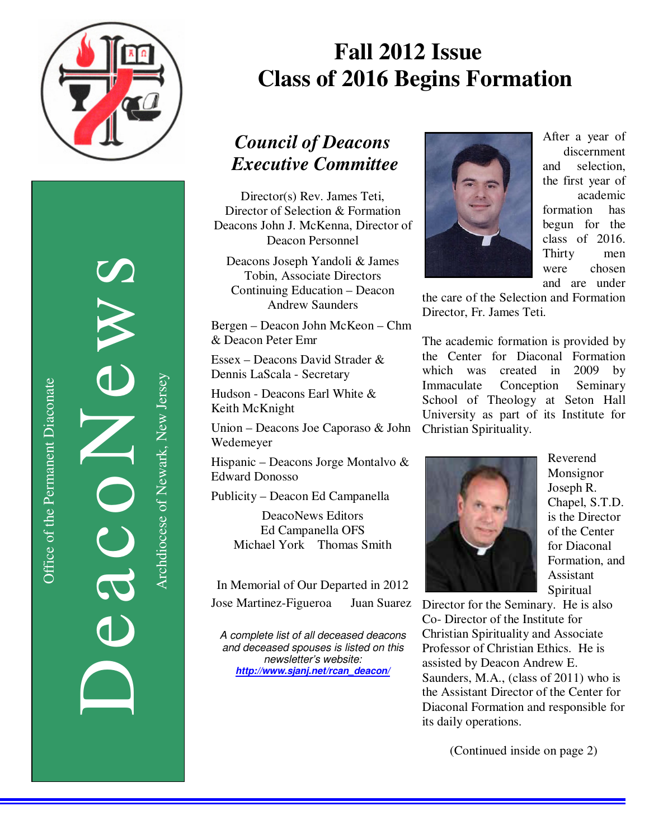

Office of the Permanent Diaconate Office of the Permanent Diaconate

DeacoNews News NEWS Archdiocese of Newark, New Jersey Archdiocese of Newark, New Jersey

# **Fall 2012 Issue Class of 2016 Begins Formation**

## *Council of Deacons Executive Committee*

Director(s) Rev. James Teti, Director of Selection & Formation Deacons John J. McKenna, Director of Deacon Personnel

Deacons Joseph Yandoli & James Tobin, Associate Directors Continuing Education – Deacon Andrew Saunders

Bergen – Deacon John McKeon – Chm & Deacon Peter Emr

Essex – Deacons David Strader & Dennis LaScala - Secretary

Hudson - Deacons Earl White & Keith McKnight

Union – Deacons Joe Caporaso & John Wedemeyer

Hispanic – Deacons Jorge Montalvo & Edward Donosso

Publicity – Deacon Ed Campanella

DeacoNews Editors Ed Campanella OFS Michael York Thomas Smith

In Memorial of Our Departed in 2012 Jose Martinez-Figueroa Juan Suarez

A complete list of all deceased deacons and deceased spouses is listed on this newsletter's website: *http://www.sjanj.net/rcan\_deacon/* 



After a year of discernment and selection, the first year of academic formation has begun for the class of 2016. Thirty men were chosen and are under

the care of the Selection and Formation Director, Fr. James Teti.

The academic formation is provided by the Center for Diaconal Formation which was created in 2009 by Immaculate Conception Seminary School of Theology at Seton Hall University as part of its Institute for Christian Spirituality.



Reverend Monsignor Joseph R. Chapel, S.T.D. is the Director of the Center for Diaconal Formation, and Assistant Spiritual

Director for the Seminary. He is also Co- Director of the Institute for Christian Spirituality and Associate Professor of Christian Ethics. He is assisted by Deacon Andrew E. Saunders, M.A., (class of 2011) who is the Assistant Director of the Center for Diaconal Formation and responsible for its daily operations.

(Continued inside on page 2)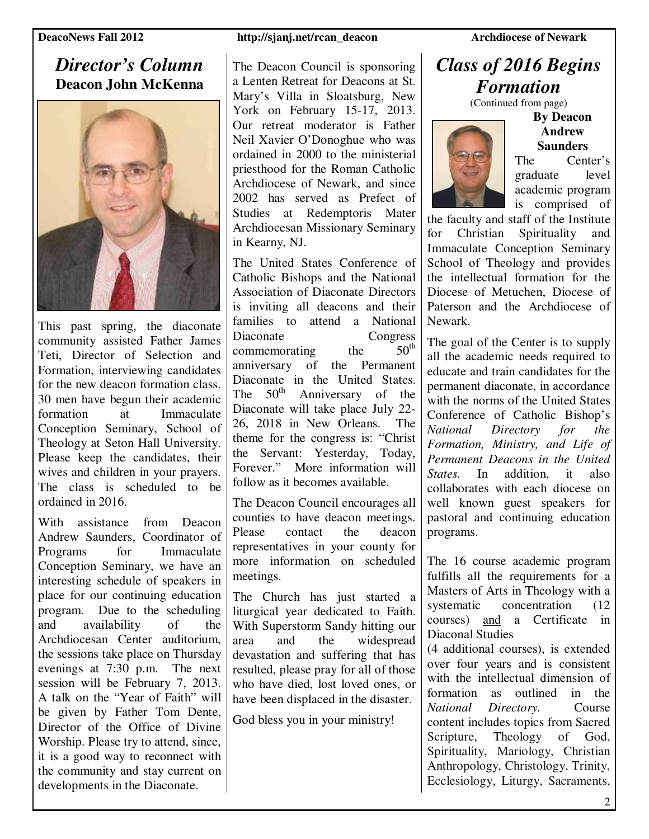### *Director's Column*  **Deacon John McKenna**



This past spring, the diaconate community assisted Father James Teti, Director of Selection and Formation, interviewing candidates for the new deacon formation class. 30 men have begun their academic formation at Immaculate Conception Seminary, School of Theology at Seton Hall University. Please keep the candidates, their wives and children in your prayers. The class is scheduled to be ordained in 2016.

With assistance from Deacon Andrew Saunders, Coordinator of Programs for Immaculate Conception Seminary, we have an interesting schedule of speakers in place for our continuing education program. Due to the scheduling and availability of the Archdiocesan Center auditorium, the sessions take place on Thursday evenings at 7:30 p.m. The next session will be February 7, 2013. A talk on the "Year of Faith" will be given by Father Tom Dente, Director of the Office of Divine Worship. Please try to attend, since, it is a good way to reconnect with the community and stay current on developments in the Diaconate.

#### **DeacoNews Fall 2012** http://sjanj.net/rcan\_deacon Archdiocese of Newark

The Deacon Council is sponsoring a Lenten Retreat for Deacons at St. Mary's Villa in Sloatsburg, New York on February 15-17, 2013. Our retreat moderator is Father Neil Xavier O'Donoghue who was ordained in 2000 to the ministerial priesthood for the Roman Catholic Archdiocese of Newark, and since 2002 has served as Prefect of Studies at Redemptoris Mater Archdiocesan Missionary Seminary in Kearny, NJ.

The United States Conference of Catholic Bishops and the National Association of Diaconate Directors is inviting all deacons and their families to attend a National Diaconate Congress<br>
commemorating the 50<sup>th</sup> commemorating the anniversary of the Permanent Diaconate in the United States. The  $50<sup>th</sup>$  Anniversary of the Diaconate will take place July 22- 26, 2018 in New Orleans. The theme for the congress is: "Christ the Servant: Yesterday, Today, Forever." More information will follow as it becomes available.

The Deacon Council encourages all counties to have deacon meetings. Please contact the deacon representatives in your county for more information on scheduled meetings.

The Church has just started a liturgical year dedicated to Faith. With Superstorm Sandy hitting our area and the widespread devastation and suffering that has resulted, please pray for all of those who have died, lost loved ones, or have been displaced in the disaster.

God bless you in your ministry!

## *Class of 2016 Begins Formation*

(Continued from page)



**By Deacon Andrew Saunders**  The Center's

graduate level academic program is comprised of

the faculty and staff of the Institute for Christian Spirituality and Immaculate Conception Seminary School of Theology and provides the intellectual formation for the Diocese of Metuchen, Diocese of Paterson and the Archdiocese of Newark.

The goal of the Center is to supply all the academic needs required to educate and train candidates for the permanent diaconate, in accordance with the norms of the United States Conference of Catholic Bishop's *National Directory for the Formation, Ministry, and Life of Permanent Deacons in the United States.* In addition, it also collaborates with each diocese on well known guest speakers for pastoral and continuing education programs.

The 16 course academic program fulfills all the requirements for a Masters of Arts in Theology with a systematic concentration (12) courses) and a Certificate in Diaconal Studies

(4 additional courses), is extended over four years and is consistent with the intellectual dimension of formation as outlined in the *National Directory.* Course content includes topics from Sacred Scripture, Theology of God, Spirituality, Mariology, Christian Anthropology, Christology, Trinity, Ecclesiology, Liturgy, Sacraments,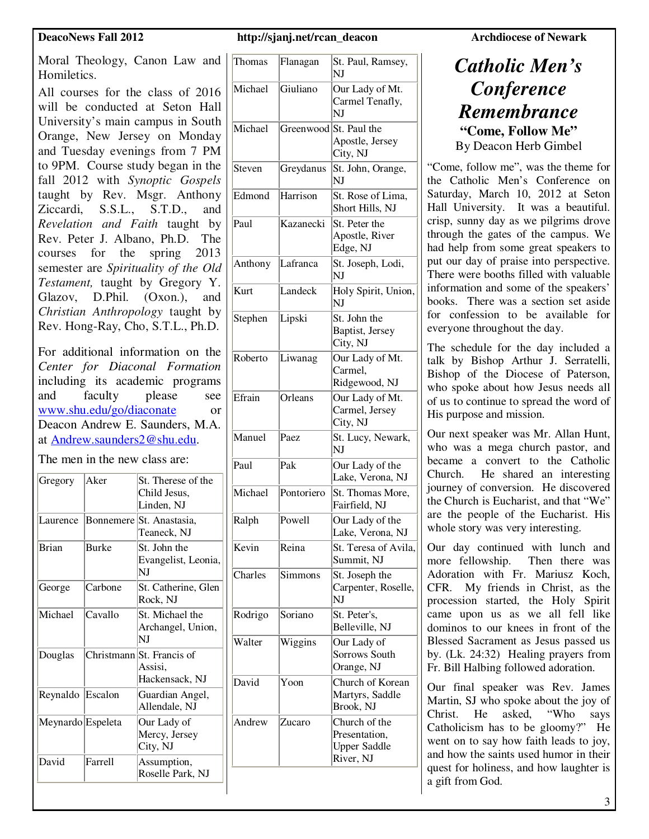Moral Theology, Canon Law and Homiletics.

All courses for the class of 2016 will be conducted at Seton Hall University's main campus in South Orange, New Jersey on Monday and Tuesday evenings from 7 PM to 9PM. Course study began in the fall 2012 with *Synoptic Gospels* taught by Rev. Msgr. Anthony Ziccardi, S.S.L., S.T.D., and *Revelation and Faith* taught by Rev. Peter J. Albano, Ph.D. The courses for the spring 2013 semester are *Spirituality of the Old Testament,* taught by Gregory Y. Glazov, D.Phil. (Oxon.), and *Christian Anthropology* taught by Rev. Hong-Ray, Cho, S.T.L., Ph.D.

For additional information on the *Center for Diaconal Formation* including its academic programs and faculty please see www.shu.edu/go/diaconate or Deacon Andrew E. Saunders, M.A. at Andrew.saunders2@shu.edu.

The men in the new class are:

| Gregory           | Aker         | St. Therese of the<br>Child Jesus,<br>Linden. NJ       |
|-------------------|--------------|--------------------------------------------------------|
| Laurence          |              | Bonnemere St. Anastasia,<br>Teaneck, NJ                |
| <b>Brian</b>      | <b>Burke</b> | St. John the<br>Evangelist, Leonia,<br>NJ              |
| George            | Carbone      | St. Catherine, Glen<br>Rock, NJ                        |
| Michael           | Cavallo      | St. Michael the<br>Archangel, Union,<br>NJ             |
| Douglas           |              | Christmann St. Francis of<br>Assisi.<br>Hackensack, NJ |
| Reynaldo Escalon  |              | Guardian Angel,<br>Allendale, NJ                       |
| Meynardo Espeleta |              | Our Lady of<br>Mercy, Jersey<br>City, NJ               |
| David             | Farrell      | Assumption,<br>Roselle Park, NJ                        |

#### **DeacoNews Fall 2012 http://sjanj.net/rcan\_deacon** Archdiocese of Newark

| Thomas  | Flanagan   | St. Paul, Ramsey,<br>NJ                                            |
|---------|------------|--------------------------------------------------------------------|
| Michael | Giuliano   | Our Lady of Mt.<br>Carmel Tenafly,<br>NJ                           |
| Michael |            | Greenwood St. Paul the<br>Apostle, Jersey<br>City, NJ              |
| Steven  | Greydanus  | St. John, Orange,<br>NI                                            |
| Edmond  | Harrison   | St. Rose of Lima,<br>Short Hills, NJ                               |
| Paul    | Kazanecki  | St. Peter the<br>Apostle, River<br>Edge, NJ                        |
| Anthony | Lafranca   | St. Joseph, Lodi,<br>NJ                                            |
| Kurt    | Landeck    | Holy Spirit, Union,<br>NJ                                          |
| Stephen | Lipski     | St. John the<br>Baptist, Jersey<br>City, NJ                        |
| Roberto | Liwanag    | Our Lady of Mt.<br>Carmel,<br>Ridgewood, NJ                        |
| Efrain  | Orleans    | Our Lady of Mt.<br>Carmel, Jersey<br>City, NJ                      |
| Manuel  | Paez       | St. Lucy, Newark,<br>NI                                            |
| Paul    | Pak        | Our Lady of the<br>Lake, Verona, NJ                                |
| Michael | Pontoriero | St. Thomas More,<br>Fairfield, NJ                                  |
| Ralph   | Powell     | Our Lady of the<br>Lake, Verona, NJ                                |
| Kevin   | Reina      | St. Teresa of Avila,<br>Summit, NJ                                 |
| Charles | Simmons    | St. Joseph the<br>Carpenter, Roselle,<br>NJ                        |
| Rodrigo | Soriano    | St. Peter's,<br>Belleville, NJ                                     |
| Walter  | Wiggins    | Our Lady of<br>Sorrows South<br>Orange, NJ                         |
| David   | Yoon       | Church of Korean<br>Martyrs, Saddle<br>Brook, NJ                   |
| Andrew  | Zucaro     | Church of the<br>Presentation.<br><b>Upper Saddle</b><br>River, NJ |

### *Catholic Men's Conference Remembrance*  **"Come, Follow Me"**  By Deacon Herb Gimbel

"Come, follow me", was the theme for the Catholic Men's Conference on Saturday, March 10, 2012 at Seton Hall University. It was a beautiful. crisp, sunny day as we pilgrims drove through the gates of the campus. We had help from some great speakers to put our day of praise into perspective. There were booths filled with valuable information and some of the speakers' books. There was a section set aside for confession to be available for everyone throughout the day.

The schedule for the day included a talk by Bishop Arthur J. Serratelli, Bishop of the Diocese of Paterson, who spoke about how Jesus needs all of us to continue to spread the word of His purpose and mission.

Our next speaker was Mr. Allan Hunt, who was a mega church pastor, and became a convert to the Catholic Church. He shared an interesting journey of conversion. He discovered the Church is Eucharist, and that "We" are the people of the Eucharist. His whole story was very interesting.

Our day continued with lunch and more fellowship. Then there was Adoration with Fr. Mariusz Koch, CFR. My friends in Christ, as the procession started, the Holy Spirit came upon us as we all fell like dominos to our knees in front of the Blessed Sacrament as Jesus passed us by. (Lk. 24:32) Healing prayers from Fr. Bill Halbing followed adoration.

Our final speaker was Rev. James Martin, SJ who spoke about the joy of Christ. He asked, "Who says Catholicism has to be gloomy?" He went on to say how faith leads to joy, and how the saints used humor in their quest for holiness, and how laughter is a gift from God.